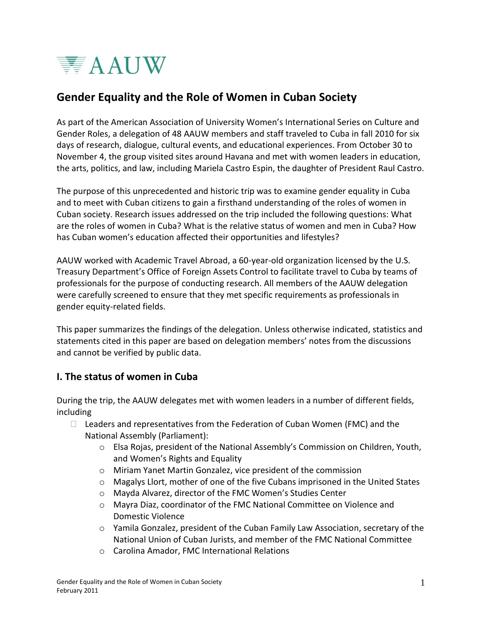

# **Gender Equality and the Role of Women in Cuban Society**

As part of the American Association of University Women's International Series on Culture and Gender Roles, a delegation of 48 AAUW members and staff traveled to Cuba in fall 2010 for six days of research, dialogue, cultural events, and educational experiences. From October 30 to November 4, the group visited sites around Havana and met with women leaders in education, the arts, politics, and law, including Mariela Castro Espin, the daughter of President Raul Castro.

The purpose of this unprecedented and historic trip was to examine gender equality in Cuba and to meet with Cuban citizens to gain a firsthand understanding of the roles of women in Cuban society. Research issues addressed on the trip included the following questions: What are the roles of women in Cuba? What is the relative status of women and men in Cuba? How has Cuban women's education affected their opportunities and lifestyles?

AAUW worked with Academic Travel Abroad, a 60-year-old organization licensed by the U.S. Treasury Department's Office of Foreign Assets Control to facilitate travel to Cuba by teams of professionals for the purpose of conducting research. All members of the AAUW delegation were carefully screened to ensure that they met specific requirements as professionals in gender equity-related fields.

This paper summarizes the findings of the delegation. Unless otherwise indicated, statistics and statements cited in this paper are based on delegation members' notes from the discussions and cannot be verified by public data.

### **I. The status of women in Cuba**

During the trip, the AAUW delegates met with women leaders in a number of different fields, including

- $\Box$  Leaders and representatives from the Federation of Cuban Women (FMC) and the National Assembly (Parliament):
	- o Elsa Rojas, president of the National Assembly's Commission on Children, Youth, and Women's Rights and Equality
	- o Miriam Yanet Martin Gonzalez, vice president of the commission
	- $\circ$  Magalys Llort, mother of one of the five Cubans imprisoned in the United States
	- o Mayda Alvarez, director of the FMC Women's Studies Center
	- o Mayra Diaz, coordinator of the FMC National Committee on Violence and Domestic Violence
	- o Yamila Gonzalez, president of the Cuban Family Law Association, secretary of the National Union of Cuban Jurists, and member of the FMC National Committee
	- o Carolina Amador, FMC International Relations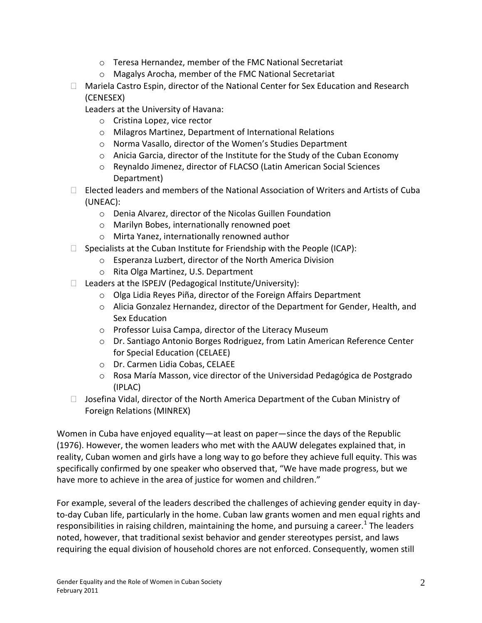- o Teresa Hernandez, member of the FMC National Secretariat
- o Magalys Arocha, member of the FMC National Secretariat
- □ Mariela Castro Espin, director of the National Center for Sex Education and Research (CENESEX)

Leaders at the University of Havana:

- o Cristina Lopez, vice rector
- o Milagros Martinez, Department of International Relations
- o Norma Vasallo, director of the Women's Studies Department
- o Anicia Garcia, director of the Institute for the Study of the Cuban Economy
- o Reynaldo Jimenez, director of FLACSO (Latin American Social Sciences Department)
- $\Box$  Elected leaders and members of the National Association of Writers and Artists of Cuba (UNEAC):
	- o Denia Alvarez, director of the Nicolas Guillen Foundation
	- o Marilyn Bobes, internationally renowned poet
	- o Mirta Yanez, internationally renowned author
- $\Box$  Specialists at the Cuban Institute for Friendship with the People (ICAP):
	- o Esperanza Luzbert, director of the North America Division
	- o Rita Olga Martinez, U.S. Department
- $\Box$  Leaders at the ISPEJV (Pedagogical Institute/University):
	- o Olga Lidia Reyes Piña, director of the Foreign Affairs Department
	- o Alicia Gonzalez Hernandez, director of the Department for Gender, Health, and Sex Education
	- o Professor Luisa Campa, director of the Literacy Museum
	- o Dr. Santiago Antonio Borges Rodriguez, from Latin American Reference Center for Special Education (CELAEE)
	- o Dr. Carmen Lidia Cobas, CELAEE
	- o Rosa María Masson, vice director of the Universidad Pedagógica de Postgrado (IPLAC)
- $\Box$  Josefina Vidal, director of the North America Department of the Cuban Ministry of Foreign Relations (MINREX)

Women in Cuba have enjoyed equality—at least on paper—since the days of the Republic (1976). However, the women leaders who met with the AAUW delegates explained that, in reality, Cuban women and girls have a long way to go before they achieve full equity. This was specifically confirmed by one speaker who observed that, "We have made progress, but we have more to achieve in the area of justice for women and children."

For example, several of the leaders described the challenges of achieving gender equity in dayto-day Cuban life, particularly in the home. Cuban law grants women and men equal rights and responsibilities in raising children, maintaining the home, and pursuing a career.<sup>1</sup> The leaders noted, however, that traditional sexist behavior and gender stereotypes persist, and laws requiring the equal division of household chores are not enforced. Consequently, women still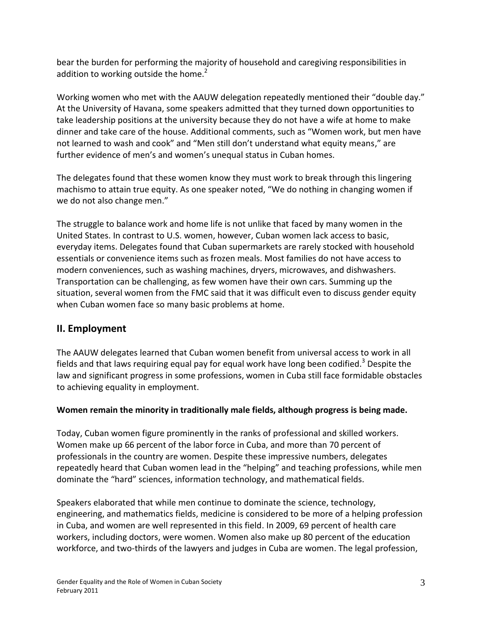bear the burden for performing the majority of household and caregiving responsibilities in addition to working outside the home.<sup>2</sup>

Working women who met with the AAUW delegation repeatedly mentioned their "double day." At the University of Havana, some speakers admitted that they turned down opportunities to take leadership positions at the university because they do not have a wife at home to make dinner and take care of the house. Additional comments, such as "Women work, but men have not learned to wash and cook" and "Men still don't understand what equity means," are further evidence of men's and women's unequal status in Cuban homes.

The delegates found that these women know they must work to break through this lingering machismo to attain true equity. As one speaker noted, "We do nothing in changing women if we do not also change men."

The struggle to balance work and home life is not unlike that faced by many women in the United States. In contrast to U.S. women, however, Cuban women lack access to basic, everyday items. Delegates found that Cuban supermarkets are rarely stocked with household essentials or convenience items such as frozen meals. Most families do not have access to modern conveniences, such as washing machines, dryers, microwaves, and dishwashers. Transportation can be challenging, as few women have their own cars. Summing up the situation, several women from the FMC said that it was difficult even to discuss gender equity when Cuban women face so many basic problems at home.

### **II. Employment**

The AAUW delegates learned that Cuban women benefit from universal access to work in all fields and that laws requiring equal pay for equal work have long been codified.<sup>3</sup> Despite the law and significant progress in some professions, women in Cuba still face formidable obstacles to achieving equality in employment.

#### **Women remain the minority in traditionally male fields, although progress is being made.**

Today, Cuban women figure prominently in the ranks of professional and skilled workers. Women make up 66 percent of the labor force in Cuba, and more than 70 percent of professionals in the country are women. Despite these impressive numbers, delegates repeatedly heard that Cuban women lead in the "helping" and teaching professions, while men dominate the "hard" sciences, information technology, and mathematical fields.

Speakers elaborated that while men continue to dominate the science, technology, engineering, and mathematics fields, medicine is considered to be more of a helping profession in Cuba, and women are well represented in this field. In 2009, 69 percent of health care workers, including doctors, were women. Women also make up 80 percent of the education workforce, and two-thirds of the lawyers and judges in Cuba are women. The legal profession,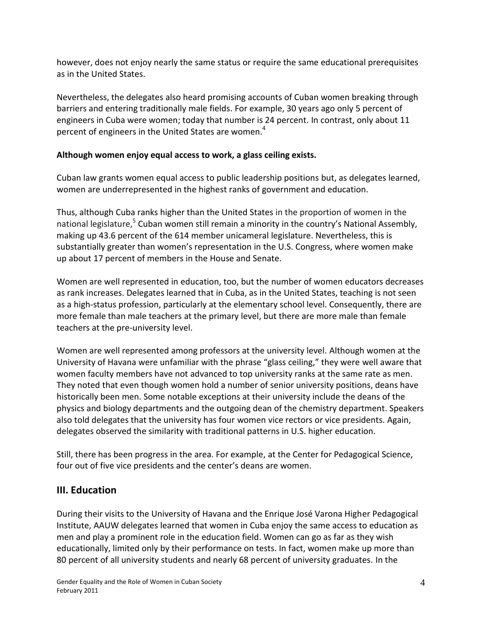however, does not enjoy nearly the same status or require the same educational prerequisites as in the United States.

Nevertheless, the delegates also heard promising accounts of Cuban women breaking through barriers and entering traditionally male fields. For example, 30 years ago only 5 percent of engineers in Cuba were women; today that number is 24 percent. In contrast, only about 11 percent of engineers in the United States are women.<sup>4</sup>

#### **Although women enjoy equal access to work, a glass ceiling exists.**

Cuban law grants women equal access to public leadership positions but, as delegates learned, women are underrepresented in the highest ranks of government and education.

Thus, although Cuba ranks higher than the United States in the proportion of women in the national legislature,<sup>5</sup> Cuban women still remain a minority in the country's National Assembly, making up 43.6 percent of the 614 member unicameral legislature. Nevertheless, this is substantially greater than women's representation in the U.S. Congress, where women make up about 17 percent of members in the House and Senate.

Women are well represented in education, too, but the number of women educators decreases as rank increases. Delegates learned that in Cuba, as in the United States, teaching is not seen as a high-status profession, particularly at the elementary school level. Consequently, there are more female than male teachers at the primary level, but there are more male than female teachers at the pre-university level.

Women are well represented among professors at the university level. Although women at the University of Havana were unfamiliar with the phrase "glass ceiling," they were well aware that women faculty members have not advanced to top university ranks at the same rate as men. They noted that even though women hold a number of senior university positions, deans have historically been men. Some notable exceptions at their university include the deans of the physics and biology departments and the outgoing dean of the chemistry department. Speakers also told delegates that the university has four women vice rectors or vice presidents. Again, delegates observed the similarity with traditional patterns in U.S. higher education.

Still, there has been progress in the area. For example, at the Center for Pedagogical Science, four out of five vice presidents and the center's deans are women.

## **III. Education**

During their visits to the University of Havana and the Enrique José Varona Higher Pedagogical Institute, AAUW delegates learned that women in Cuba enjoy the same access to education as men and play a prominent role in the education field. Women can go as far as they wish educationally, limited only by their performance on tests. In fact, women make up more than 80 percent of all university students and nearly 68 percent of university graduates. In the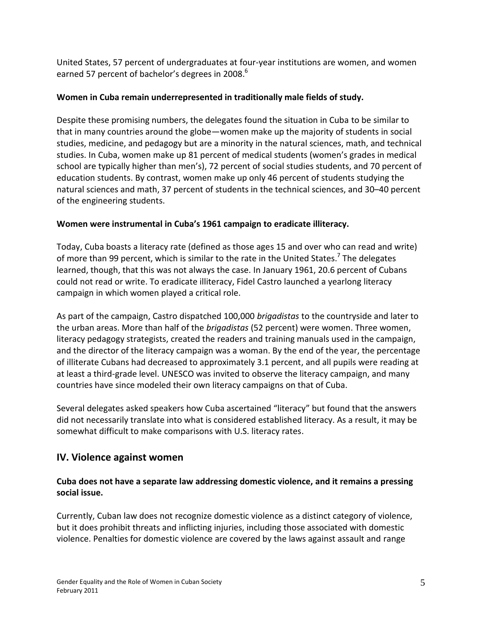United States, 57 percent of undergraduates at four-year institutions are women, and women earned 57 percent of bachelor's degrees in 2008.<sup>6</sup>

#### **Women in Cuba remain underrepresented in traditionally male fields of study.**

Despite these promising numbers, the delegates found the situation in Cuba to be similar to that in many countries around the globe—women make up the majority of students in social studies, medicine, and pedagogy but are a minority in the natural sciences, math, and technical studies. In Cuba, women make up 81 percent of medical students (women's grades in medical school are typically higher than men's), 72 percent of social studies students, and 70 percent of education students. By contrast, women make up only 46 percent of students studying the natural sciences and math, 37 percent of students in the technical sciences, and 30–40 percent of the engineering students.

#### **Women were instrumental in Cuba's 1961 campaign to eradicate illiteracy.**

Today, Cuba boasts a literacy rate (defined as those ages 15 and over who can read and write) of more than 99 percent, which is similar to the rate in the United States.<sup>7</sup> The delegates learned, though, that this was not always the case. In January 1961, 20.6 percent of Cubans could not read or write. To eradicate illiteracy, Fidel Castro launched a yearlong literacy campaign in which women played a critical role.

As part of the campaign, Castro dispatched 100,000 *brigadistas* to the countryside and later to the urban areas. More than half of the *brigadistas* (52 percent) were women. Three women, literacy pedagogy strategists, created the readers and training manuals used in the campaign, and the director of the literacy campaign was a woman. By the end of the year, the percentage of illiterate Cubans had decreased to approximately 3.1 percent, and all pupils were reading at at least a third-grade level. UNESCO was invited to observe the literacy campaign, and many countries have since modeled their own literacy campaigns on that of Cuba.

Several delegates asked speakers how Cuba ascertained "literacy" but found that the answers did not necessarily translate into what is considered established literacy. As a result, it may be somewhat difficult to make comparisons with U.S. literacy rates.

## **IV. Violence against women**

#### **Cuba does not have a separate law addressing domestic violence, and it remains a pressing social issue.**

Currently, Cuban law does not recognize domestic violence as a distinct category of violence, but it does prohibit threats and inflicting injuries, including those associated with domestic violence. Penalties for domestic violence are covered by the laws against assault and range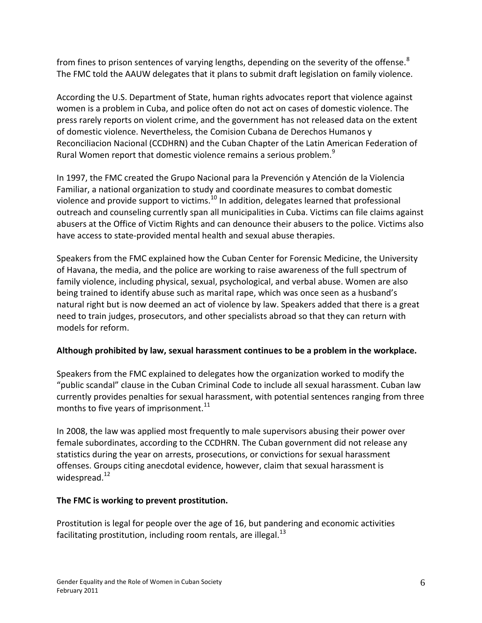from fines to prison sentences of varying lengths, depending on the severity of the offense.<sup>8</sup> The FMC told the AAUW delegates that it plans to submit draft legislation on family violence.

According the U.S. Department of State, human rights advocates report that violence against women is a problem in Cuba, and police often do not act on cases of domestic violence. The press rarely reports on violent crime, and the government has not released data on the extent of domestic violence. Nevertheless, the Comision Cubana de Derechos Humanos y Reconciliacion Nacional (CCDHRN) and the Cuban Chapter of the Latin American Federation of Rural Women report that domestic violence remains a serious problem.<sup>9</sup>

In 1997, the FMC created the Grupo Nacional para la Prevención y Atención de la Violencia Familiar, a national organization to study and coordinate measures to combat domestic violence and provide support to victims.<sup>10</sup> In addition, delegates learned that professional outreach and counseling currently span all municipalities in Cuba. Victims can file claims against abusers at the Office of Victim Rights and can denounce their abusers to the police. Victims also have access to state-provided mental health and sexual abuse therapies.

Speakers from the FMC explained how the Cuban Center for Forensic Medicine, the University of Havana, the media, and the police are working to raise awareness of the full spectrum of family violence, including physical, sexual, psychological, and verbal abuse. Women are also being trained to identify abuse such as marital rape, which was once seen as a husband's natural right but is now deemed an act of violence by law. Speakers added that there is a great need to train judges, prosecutors, and other specialists abroad so that they can return with models for reform.

### **Although prohibited by law, sexual harassment continues to be a problem in the workplace.**

Speakers from the FMC explained to delegates how the organization worked to modify the "public scandal" clause in the Cuban Criminal Code to include all sexual harassment. Cuban law currently provides penalties for sexual harassment, with potential sentences ranging from three months to five years of imprisonment. $^{11}$ 

In 2008, the law was applied most frequently to male supervisors abusing their power over female subordinates, according to the CCDHRN. The Cuban government did not release any statistics during the year on arrests, prosecutions, or convictions for sexual harassment offenses. Groups citing anecdotal evidence, however, claim that sexual harassment is widespread. $^{12}$ 

### **The FMC is working to prevent prostitution.**

Prostitution is legal for people over the age of 16, but pandering and economic activities facilitating prostitution, including room rentals, are illegal. $^{13}$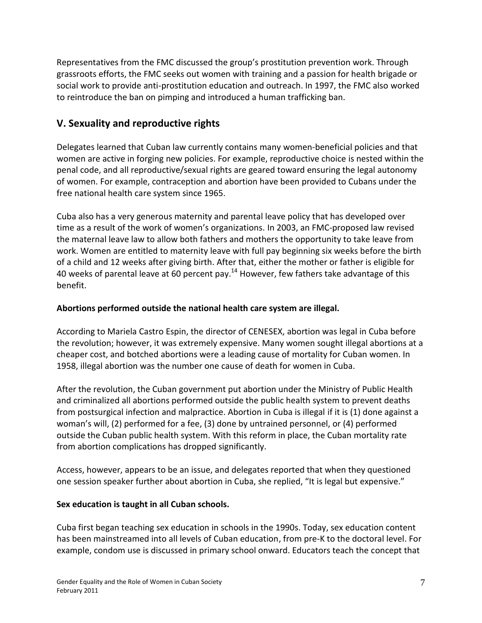Representatives from the FMC discussed the group's prostitution prevention work. Through grassroots efforts, the FMC seeks out women with training and a passion for health brigade or social work to provide anti-prostitution education and outreach. In 1997, the FMC also worked to reintroduce the ban on pimping and introduced a human trafficking ban.

# **V. Sexuality and reproductive rights**

Delegates learned that Cuban law currently contains many women-beneficial policies and that women are active in forging new policies. For example, reproductive choice is nested within the penal code, and all reproductive/sexual rights are geared toward ensuring the legal autonomy of women. For example, contraception and abortion have been provided to Cubans under the free national health care system since 1965.

Cuba also has a very generous maternity and parental leave policy that has developed over time as a result of the work of women's organizations. In 2003, an FMC-proposed law revised the maternal leave law to allow both fathers and mothers the opportunity to take leave from work. Women are entitled to maternity leave with full pay beginning six weeks before the birth of a child and 12 weeks after giving birth. After that, either the mother or father is eligible for 40 weeks of parental leave at 60 percent pay.<sup>14</sup> However, few fathers take advantage of this benefit.

#### **Abortions performed outside the national health care system are illegal.**

According to Mariela Castro Espin, the director of CENESEX, abortion was legal in Cuba before the revolution; however, it was extremely expensive. Many women sought illegal abortions at a cheaper cost, and botched abortions were a leading cause of mortality for Cuban women. In 1958, illegal abortion was the number one cause of death for women in Cuba.

After the revolution, the Cuban government put abortion under the Ministry of Public Health and criminalized all abortions performed outside the public health system to prevent deaths from postsurgical infection and malpractice. Abortion in Cuba is illegal if it is (1) done against a woman's will, (2) performed for a fee, (3) done by untrained personnel, or (4) performed outside the Cuban public health system. With this reform in place, the Cuban mortality rate from abortion complications has dropped significantly.

Access, however, appears to be an issue, and delegates reported that when they questioned one session speaker further about abortion in Cuba, she replied, "It is legal but expensive."

#### **Sex education is taught in all Cuban schools.**

Cuba first began teaching sex education in schools in the 1990s. Today, sex education content has been mainstreamed into all levels of Cuban education, from pre-K to the doctoral level. For example, condom use is discussed in primary school onward. Educators teach the concept that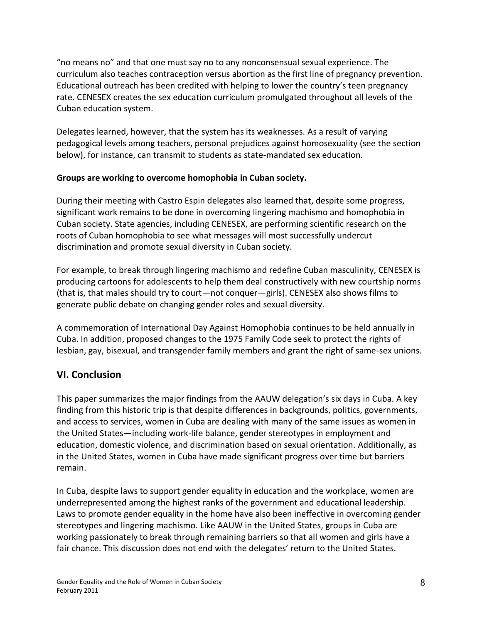"no means no" and that one must say no to any nonconsensual sexual experience. The curriculum also teaches contraception versus abortion as the first line of pregnancy prevention. Educational outreach has been credited with helping to lower the country's teen pregnancy rate. CENESEX creates the sex education curriculum promulgated throughout all levels of the Cuban education system.

Delegates learned, however, that the system has its weaknesses. As a result of varying pedagogical levels among teachers, personal prejudices against homosexuality (see the section below), for instance, can transmit to students as state-mandated sex education.

#### **Groups are working to overcome homophobia in Cuban society.**

During their meeting with Castro Espin delegates also learned that, despite some progress, significant work remains to be done in overcoming lingering machismo and homophobia in Cuban society. State agencies, including CENESEX, are performing scientific research on the roots of Cuban homophobia to see what messages will most successfully undercut discrimination and promote sexual diversity in Cuban society.

For example, to break through lingering machismo and redefine Cuban masculinity, CENESEX is producing cartoons for adolescents to help them deal constructively with new courtship norms (that is, that males should try to court—not conquer—girls). CENESEX also shows films to generate public debate on changing gender roles and sexual diversity.

A commemoration of International Day Against Homophobia continues to be held annually in Cuba. In addition, proposed changes to the 1975 Family Code seek to protect the rights of lesbian, gay, bisexual, and transgender family members and grant the right of same-sex unions.

## **VI. Conclusion**

This paper summarizes the major findings from the AAUW delegation's six days in Cuba. A key finding from this historic trip is that despite differences in backgrounds, politics, governments, and access to services, women in Cuba are dealing with many of the same issues as women in the United States—including work-life balance, gender stereotypes in employment and education, domestic violence, and discrimination based on sexual orientation. Additionally, as in the United States, women in Cuba have made significant progress over time but barriers remain.

In Cuba, despite laws to support gender equality in education and the workplace, women are underrepresented among the highest ranks of the government and educational leadership. Laws to promote gender equality in the home have also been ineffective in overcoming gender stereotypes and lingering machismo. Like AAUW in the United States, groups in Cuba are working passionately to break through remaining barriers so that all women and girls have a fair chance. This discussion does not end with the delegates' return to the United States.